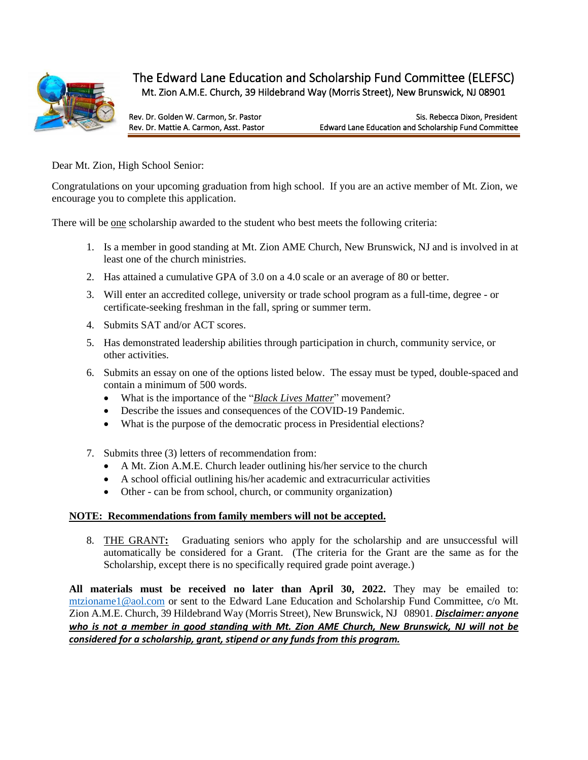

## The Edward Lane Education and Scholarship Fund Committee (ELEFSC) Mt. Zion A.M.E. Church, 39 Hildebrand Way (Morris Street), New Brunswick, NJ 08901

Rev. Dr. Golden W. Carmon, Sr. Pastor State Chemical Andreas Sis. Rebecca Dixon, President<br>Rev. Dr. Mattie A. Carmon. Asst. Pastor State State Edward Lane Education and Scholarship Fund Committee Edward Lane Education and Scholarship Fund Committee

Dear Mt. Zion, High School Senior:

Congratulations on your upcoming graduation from high school. If you are an active member of Mt. Zion, we encourage you to complete this application.

There will be one scholarship awarded to the student who best meets the following criteria:

- 1. Is a member in good standing at Mt. Zion AME Church, New Brunswick, NJ and is involved in at least one of the church ministries.
- 2. Has attained a cumulative GPA of 3.0 on a 4.0 scale or an average of 80 or better.
- 3. Will enter an accredited college, university or trade school program as a full-time, degree or certificate-seeking freshman in the fall, spring or summer term.
- 4. Submits SAT and/or ACT scores.
- 5. Has demonstrated leadership abilities through participation in church, community service, or other activities.
- 6. Submits an essay on one of the options listed below. The essay must be typed, double-spaced and contain a minimum of 500 words.
	- What is the importance of the "*Black Lives Matter*" movement?
	- Describe the issues and consequences of the COVID-19 Pandemic.
	- What is the purpose of the democratic process in Presidential elections?
- 7. Submits three (3) letters of recommendation from:
	- A Mt. Zion A.M.E. Church leader outlining his/her service to the church
	- A school official outlining his/her academic and extracurricular activities
	- Other can be from school, church, or community organization)

#### **NOTE: Recommendations from family members will not be accepted.**

8. THE GRANT**:** Graduating seniors who apply for the scholarship and are unsuccessful will automatically be considered for a Grant. (The criteria for the Grant are the same as for the Scholarship, except there is no specifically required grade point average.)

**All materials must be received no later than April 30, 2022.** They may be emailed to: [mtzioname1@aol.com](mailto:mtzioname1@aol.com) or sent to the Edward Lane Education and Scholarship Fund Committee, c/o Mt. Zion A.M.E. Church, 39 Hildebrand Way (Morris Street), New Brunswick, NJ 08901. *Disclaimer: anyone who is not a member in good standing with Mt. Zion AME Church, New Brunswick, NJ will not be considered for a scholarship, grant, stipend or any funds from this program.*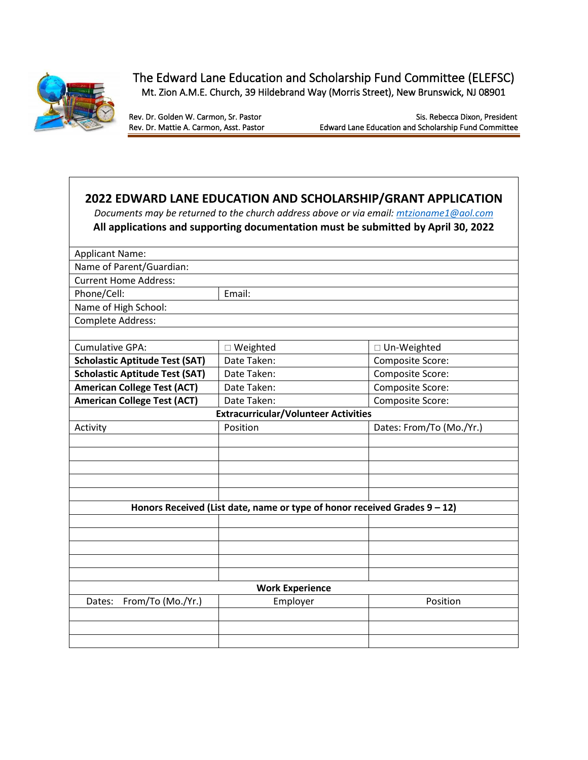

The Edward Lane Education and Scholarship Fund Committee (ELEFSC) Mt. Zion A.M.E. Church, 39 Hildebrand Way (Morris Street), New Brunswick, NJ 08901

Rev. Dr. Golden W. Carmon, Sr. Pastor<br>Rev. Dr. Mattie A. Carmon, Asst. Pastor Sis. Rebecca Dixon, President Edward Lane Education and Scholarship Fund Committee

# **2022 EDWARD LANE EDUCATION AND SCHOLARSHIP/GRANT APPLICATION** *Documents may be returned to the church address above or via email[: mtzioname1@aol.com](mailto:mtzioname1@aol.com)* **All applications and supporting documentation must be submitted by April 30, 2022** Applicant Name: Name of Parent/Guardian: Current Home Address: Phone/Cell: Email: Name of High School: Complete Address: Cumulative GPA:  $\Box$  Weighted  $\Box$  Un-Weighted **Scholastic Aptitude Test (SAT)** Date Taken: Composite Score: **Scholastic Aptitude Test (SAT)** Date Taken: Composite Score: American College Test (ACT) | Date Taken:  $\vert$  Composite Score: American College Test (ACT)  $\vert$  Date Taken:  $\vert$  Composite Score: **Extracurricular/Volunteer Activities** Activity **Position** Position **Provides: From/To (Mo./Yr.)** Dates: From/To (Mo./Yr.) **Honors Received (List date, name or type of honor received Grades 9 – 12) Work Experience** Dates: From/To (Mo./Yr.) employer and the Position